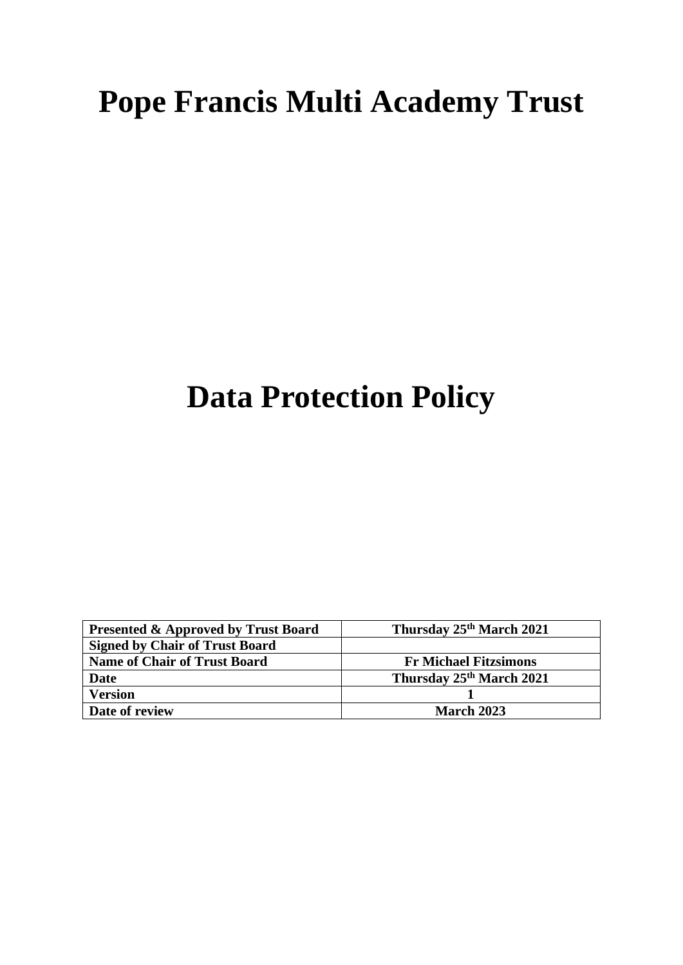# **Pope Francis Multi Academy Trust**

## **Data Protection Policy**

| <b>Presented &amp; Approved by Trust Board</b> | Thursday 25 <sup>th</sup> March 2021 |
|------------------------------------------------|--------------------------------------|
| <b>Signed by Chair of Trust Board</b>          |                                      |
| <b>Name of Chair of Trust Board</b>            | <b>Fr Michael Fitzsimons</b>         |
| Date                                           | Thursday 25th March 2021             |
| <b>Version</b>                                 |                                      |
| Date of review                                 | <b>March 2023</b>                    |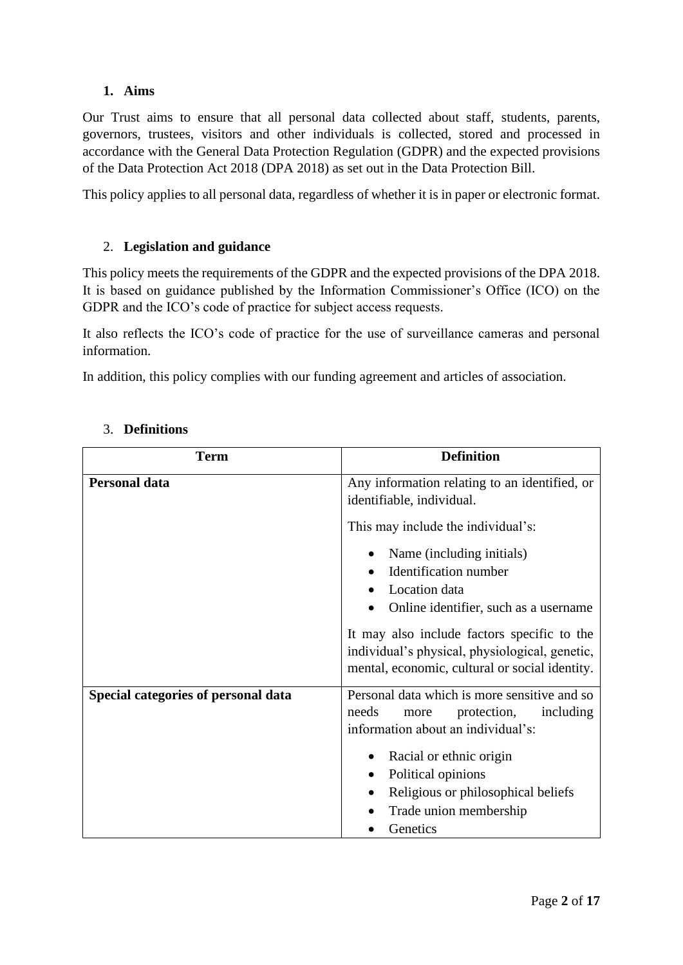## **1. Aims**

Our Trust aims to ensure that all personal data collected about staff, students, parents, governors, trustees, visitors and other individuals is collected, stored and processed in accordance with the General Data Protection Regulation (GDPR) and the expected provisions of the Data Protection Act 2018 (DPA 2018) as set out in the Data Protection Bill.

This policy applies to all personal data, regardless of whether it is in paper or electronic format.

## 2. **Legislation and guidance**

This policy meets the requirements of the GDPR and the expected provisions of the DPA 2018. It is based on guidance published by the Information Commissioner's Office (ICO) on the GDPR and the ICO's code of practice for subject access requests.

It also reflects the ICO's code of practice for the use of surveillance cameras and personal information.

In addition, this policy complies with our funding agreement and articles of association.

| <b>Term</b>                         | <b>Definition</b>                                                                                                                                                                                                                                                      |
|-------------------------------------|------------------------------------------------------------------------------------------------------------------------------------------------------------------------------------------------------------------------------------------------------------------------|
| <b>Personal data</b>                | Any information relating to an identified, or<br>identifiable, individual.                                                                                                                                                                                             |
|                                     | This may include the individual's:                                                                                                                                                                                                                                     |
|                                     | Name (including initials)<br><b>Identification</b> number<br>Location data<br>Online identifier, such as a username<br>It may also include factors specific to the<br>individual's physical, physiological, genetic,<br>mental, economic, cultural or social identity. |
| Special categories of personal data | Personal data which is more sensitive and so<br>needs<br>including<br>protection,<br>more<br>information about an individual's:<br>Racial or ethnic origin<br>Political opinions<br>Religious or philosophical beliefs<br>Trade union membership<br>Genetics           |

## 3. **Definitions**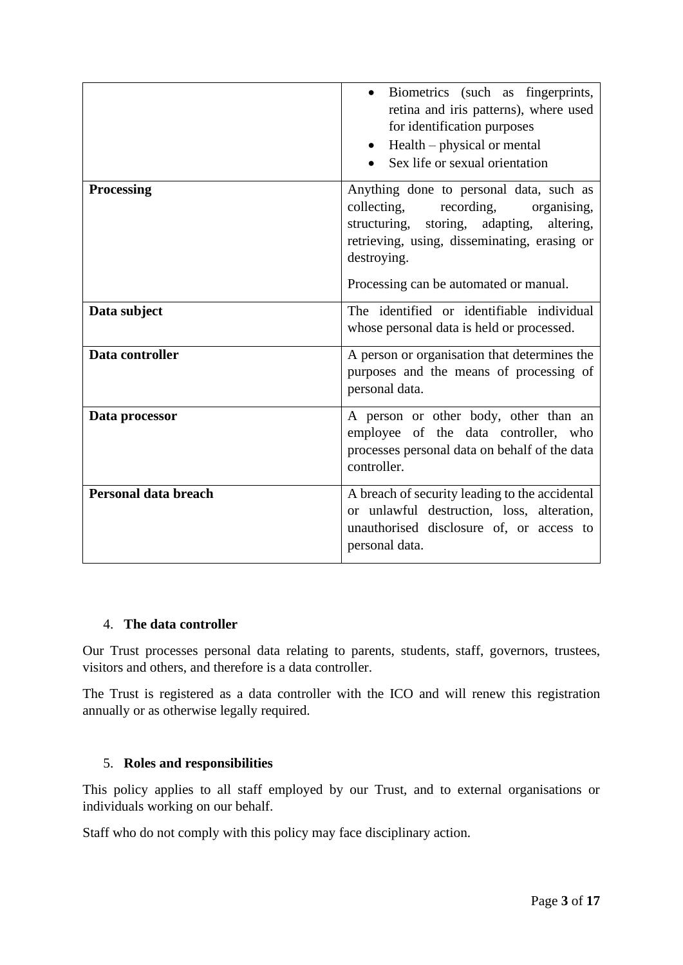|                      | Biometrics (such as fingerprints,<br>retina and iris patterns), where used<br>for identification purposes<br>Health – physical or mental<br>Sex life or sexual orientation                                                                   |
|----------------------|----------------------------------------------------------------------------------------------------------------------------------------------------------------------------------------------------------------------------------------------|
| <b>Processing</b>    | Anything done to personal data, such as<br>collecting,<br>recording,<br>organising,<br>structuring, storing, adapting,<br>altering,<br>retrieving, using, disseminating, erasing or<br>destroying.<br>Processing can be automated or manual. |
| Data subject         | The identified or identifiable individual<br>whose personal data is held or processed.                                                                                                                                                       |
| Data controller      | A person or organisation that determines the<br>purposes and the means of processing of<br>personal data.                                                                                                                                    |
| Data processor       | A person or other body, other than an<br>employee of the data controller, who<br>processes personal data on behalf of the data<br>controller.                                                                                                |
| Personal data breach | A breach of security leading to the accidental<br>or unlawful destruction, loss, alteration,<br>unauthorised disclosure of, or access to<br>personal data.                                                                                   |

## 4. **The data controller**

Our Trust processes personal data relating to parents, students, staff, governors, trustees, visitors and others, and therefore is a data controller.

The Trust is registered as a data controller with the ICO and will renew this registration annually or as otherwise legally required.

## 5. **Roles and responsibilities**

This policy applies to all staff employed by our Trust, and to external organisations or individuals working on our behalf.

Staff who do not comply with this policy may face disciplinary action.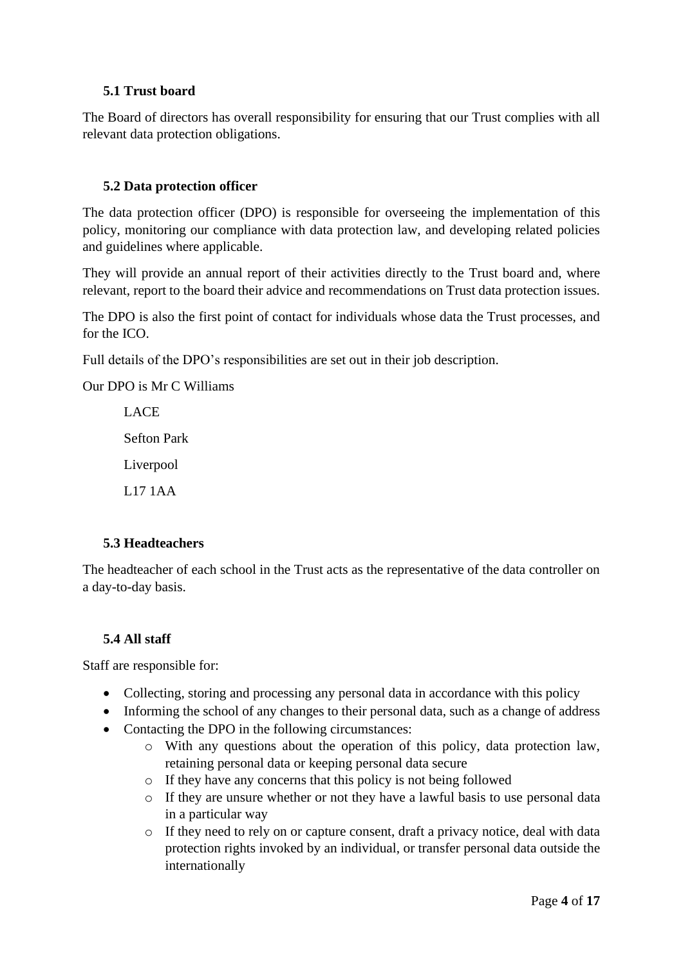## **5.1 Trust board**

The Board of directors has overall responsibility for ensuring that our Trust complies with all relevant data protection obligations.

## **5.2 Data protection officer**

The data protection officer (DPO) is responsible for overseeing the implementation of this policy, monitoring our compliance with data protection law, and developing related policies and guidelines where applicable.

They will provide an annual report of their activities directly to the Trust board and, where relevant, report to the board their advice and recommendations on Trust data protection issues.

The DPO is also the first point of contact for individuals whose data the Trust processes, and for the ICO.

Full details of the DPO's responsibilities are set out in their job description.

Our DPO is Mr C Williams

LACE Sefton Park Liverpool L17 1AA

## **5.3 Headteachers**

The headteacher of each school in the Trust acts as the representative of the data controller on a day-to-day basis.

#### **5.4 All staff**

Staff are responsible for:

- Collecting, storing and processing any personal data in accordance with this policy
- Informing the school of any changes to their personal data, such as a change of address
- Contacting the DPO in the following circumstances:
	- o With any questions about the operation of this policy, data protection law, retaining personal data or keeping personal data secure
	- o If they have any concerns that this policy is not being followed
	- o If they are unsure whether or not they have a lawful basis to use personal data in a particular way
	- o If they need to rely on or capture consent, draft a privacy notice, deal with data protection rights invoked by an individual, or transfer personal data outside the internationally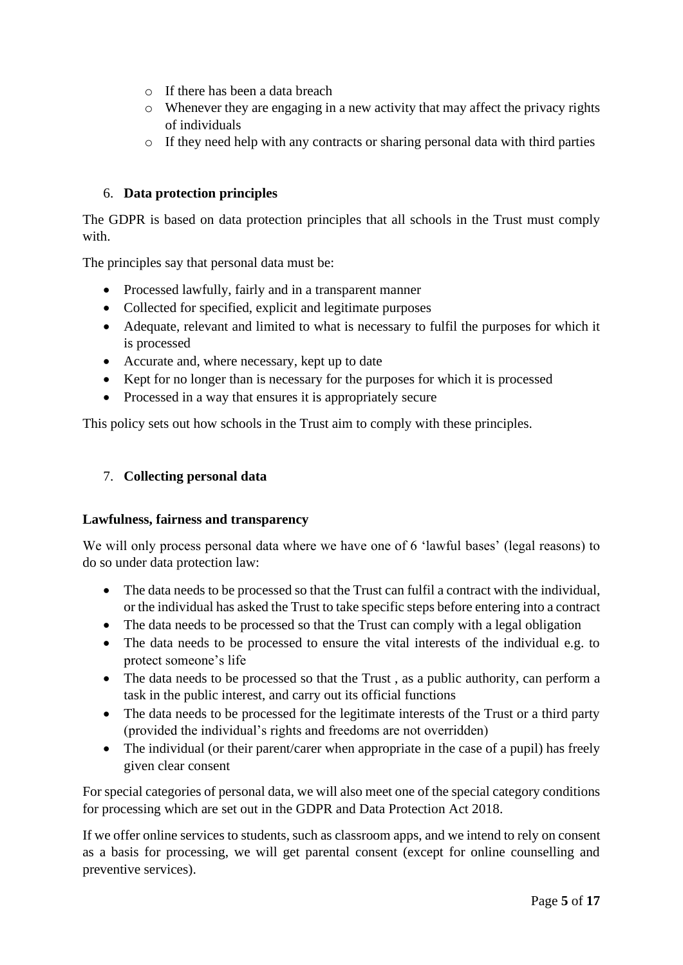- o If there has been a data breach
- o Whenever they are engaging in a new activity that may affect the privacy rights of individuals
- o If they need help with any contracts or sharing personal data with third parties

## 6. **Data protection principles**

The GDPR is based on data protection principles that all schools in the Trust must comply with

The principles say that personal data must be:

- Processed lawfully, fairly and in a transparent manner
- Collected for specified, explicit and legitimate purposes
- Adequate, relevant and limited to what is necessary to fulfil the purposes for which it is processed
- Accurate and, where necessary, kept up to date
- Kept for no longer than is necessary for the purposes for which it is processed
- Processed in a way that ensures it is appropriately secure

This policy sets out how schools in the Trust aim to comply with these principles.

## 7. **Collecting personal data**

#### **Lawfulness, fairness and transparency**

We will only process personal data where we have one of 6 'lawful bases' (legal reasons) to do so under data protection law:

- The data needs to be processed so that the Trust can fulfil a contract with the individual, or the individual has asked the Trust to take specific steps before entering into a contract
- The data needs to be processed so that the Trust can comply with a legal obligation
- The data needs to be processed to ensure the vital interests of the individual e.g. to protect someone's life
- The data needs to be processed so that the Trust, as a public authority, can perform a task in the public interest, and carry out its official functions
- The data needs to be processed for the legitimate interests of the Trust or a third party (provided the individual's rights and freedoms are not overridden)
- The individual (or their parent/carer when appropriate in the case of a pupil) has freely given clear consent

For special categories of personal data, we will also meet one of the special category conditions for processing which are set out in the GDPR and Data Protection Act 2018.

If we offer online services to students, such as classroom apps, and we intend to rely on consent as a basis for processing, we will get parental consent (except for online counselling and preventive services).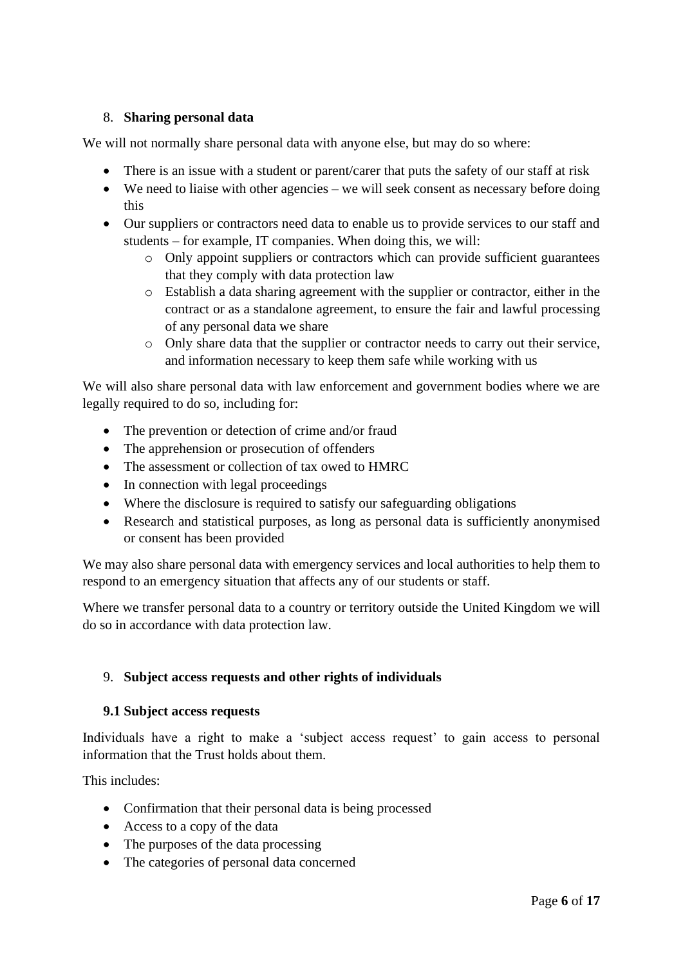## 8. **Sharing personal data**

We will not normally share personal data with anyone else, but may do so where:

- There is an issue with a student or parent/carer that puts the safety of our staff at risk
- We need to liaise with other agencies we will seek consent as necessary before doing this
- Our suppliers or contractors need data to enable us to provide services to our staff and students – for example, IT companies. When doing this, we will:
	- o Only appoint suppliers or contractors which can provide sufficient guarantees that they comply with data protection law
	- o Establish a data sharing agreement with the supplier or contractor, either in the contract or as a standalone agreement, to ensure the fair and lawful processing of any personal data we share
	- o Only share data that the supplier or contractor needs to carry out their service, and information necessary to keep them safe while working with us

We will also share personal data with law enforcement and government bodies where we are legally required to do so, including for:

- The prevention or detection of crime and/or fraud
- The apprehension or prosecution of offenders
- The assessment or collection of tax owed to HMRC
- In connection with legal proceedings
- Where the disclosure is required to satisfy our safeguarding obligations
- Research and statistical purposes, as long as personal data is sufficiently anonymised or consent has been provided

We may also share personal data with emergency services and local authorities to help them to respond to an emergency situation that affects any of our students or staff.

Where we transfer personal data to a country or territory outside the United Kingdom we will do so in accordance with data protection law.

## 9. **Subject access requests and other rights of individuals**

#### **9.1 Subject access requests**

Individuals have a right to make a 'subject access request' to gain access to personal information that the Trust holds about them.

This includes:

- Confirmation that their personal data is being processed
- Access to a copy of the data
- The purposes of the data processing
- The categories of personal data concerned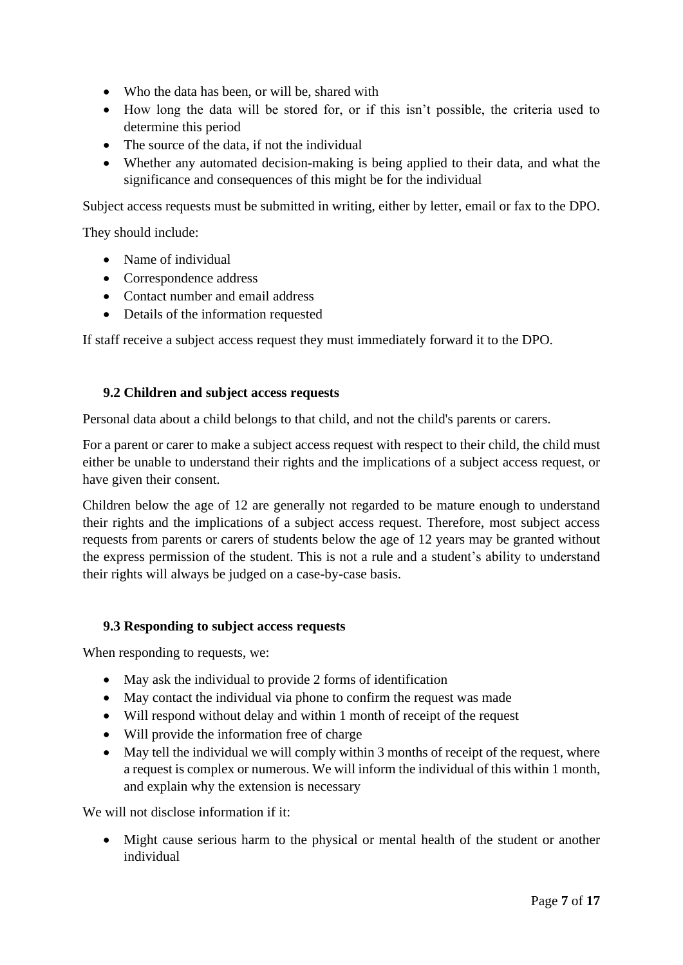- Who the data has been, or will be, shared with
- How long the data will be stored for, or if this isn't possible, the criteria used to determine this period
- The source of the data, if not the individual
- Whether any automated decision-making is being applied to their data, and what the significance and consequences of this might be for the individual

Subject access requests must be submitted in writing, either by letter, email or fax to the DPO.

They should include:

- Name of individual
- Correspondence address
- Contact number and email address
- Details of the information requested

If staff receive a subject access request they must immediately forward it to the DPO.

#### **9.2 Children and subject access requests**

Personal data about a child belongs to that child, and not the child's parents or carers.

For a parent or carer to make a subject access request with respect to their child, the child must either be unable to understand their rights and the implications of a subject access request, or have given their consent.

Children below the age of 12 are generally not regarded to be mature enough to understand their rights and the implications of a subject access request. Therefore, most subject access requests from parents or carers of students below the age of 12 years may be granted without the express permission of the student. This is not a rule and a student's ability to understand their rights will always be judged on a case-by-case basis.

#### **9.3 Responding to subject access requests**

When responding to requests, we:

- May ask the individual to provide 2 forms of identification
- May contact the individual via phone to confirm the request was made
- Will respond without delay and within 1 month of receipt of the request
- Will provide the information free of charge
- May tell the individual we will comply within 3 months of receipt of the request, where a request is complex or numerous. We will inform the individual of this within 1 month, and explain why the extension is necessary

We will not disclose information if it:

• Might cause serious harm to the physical or mental health of the student or another individual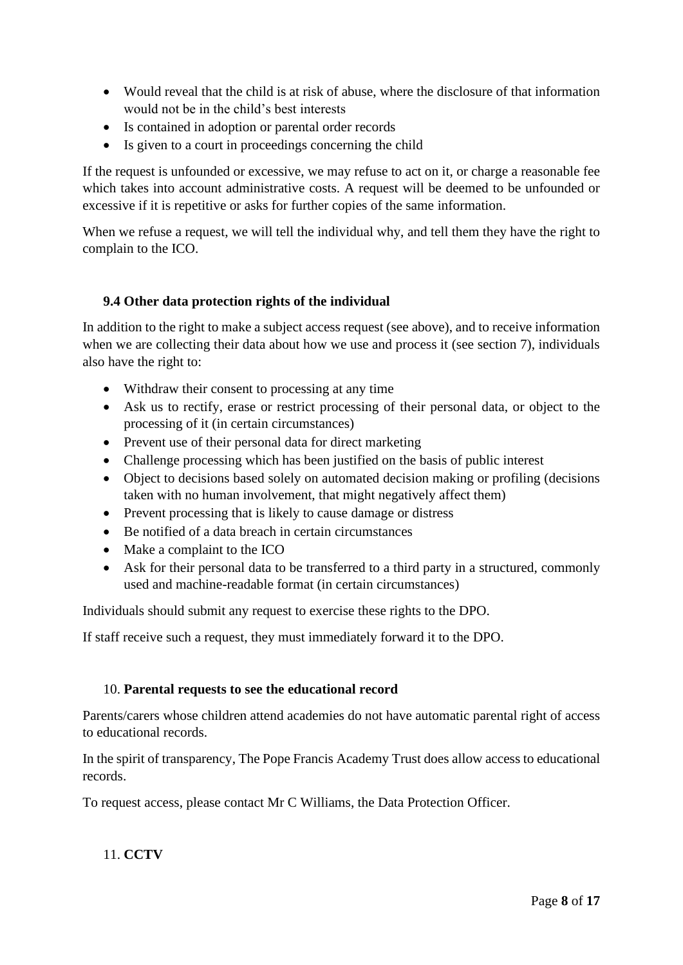- Would reveal that the child is at risk of abuse, where the disclosure of that information would not be in the child's best interests
- Is contained in adoption or parental order records
- Is given to a court in proceedings concerning the child

If the request is unfounded or excessive, we may refuse to act on it, or charge a reasonable fee which takes into account administrative costs. A request will be deemed to be unfounded or excessive if it is repetitive or asks for further copies of the same information.

When we refuse a request, we will tell the individual why, and tell them they have the right to complain to the ICO.

#### **9.4 Other data protection rights of the individual**

In addition to the right to make a subject access request (see above), and to receive information when we are collecting their data about how we use and process it (see section 7), individuals also have the right to:

- Withdraw their consent to processing at any time
- Ask us to rectify, erase or restrict processing of their personal data, or object to the processing of it (in certain circumstances)
- Prevent use of their personal data for direct marketing
- Challenge processing which has been justified on the basis of public interest
- Object to decisions based solely on automated decision making or profiling (decisions taken with no human involvement, that might negatively affect them)
- Prevent processing that is likely to cause damage or distress
- Be notified of a data breach in certain circumstances
- Make a complaint to the ICO
- Ask for their personal data to be transferred to a third party in a structured, commonly used and machine-readable format (in certain circumstances)

Individuals should submit any request to exercise these rights to the DPO.

If staff receive such a request, they must immediately forward it to the DPO.

#### 10. **Parental requests to see the educational record**

Parents/carers whose children attend academies do not have automatic parental right of access to educational records.

In the spirit of transparency, The Pope Francis Academy Trust does allow access to educational records.

To request access, please contact Mr C Williams, the Data Protection Officer.

11. **CCTV**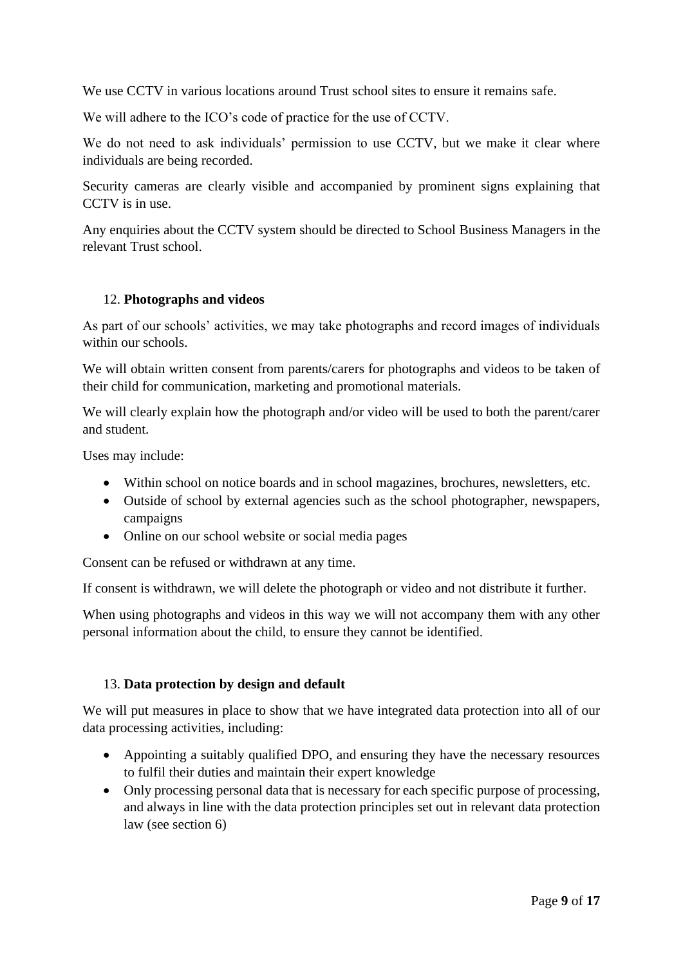We use CCTV in various locations around Trust school sites to ensure it remains safe.

We will adhere to the ICO's code of practice for the use of CCTV.

We do not need to ask individuals' permission to use CCTV, but we make it clear where individuals are being recorded.

Security cameras are clearly visible and accompanied by prominent signs explaining that CCTV is in use.

Any enquiries about the CCTV system should be directed to School Business Managers in the relevant Trust school.

#### 12. **Photographs and videos**

As part of our schools' activities, we may take photographs and record images of individuals within our schools.

We will obtain written consent from parents/carers for photographs and videos to be taken of their child for communication, marketing and promotional materials.

We will clearly explain how the photograph and/or video will be used to both the parent/carer and student.

Uses may include:

- Within school on notice boards and in school magazines, brochures, newsletters, etc.
- Outside of school by external agencies such as the school photographer, newspapers, campaigns
- Online on our school website or social media pages

Consent can be refused or withdrawn at any time.

If consent is withdrawn, we will delete the photograph or video and not distribute it further.

When using photographs and videos in this way we will not accompany them with any other personal information about the child, to ensure they cannot be identified.

## 13. **Data protection by design and default**

We will put measures in place to show that we have integrated data protection into all of our data processing activities, including:

- Appointing a suitably qualified DPO, and ensuring they have the necessary resources to fulfil their duties and maintain their expert knowledge
- Only processing personal data that is necessary for each specific purpose of processing, and always in line with the data protection principles set out in relevant data protection law (see section 6)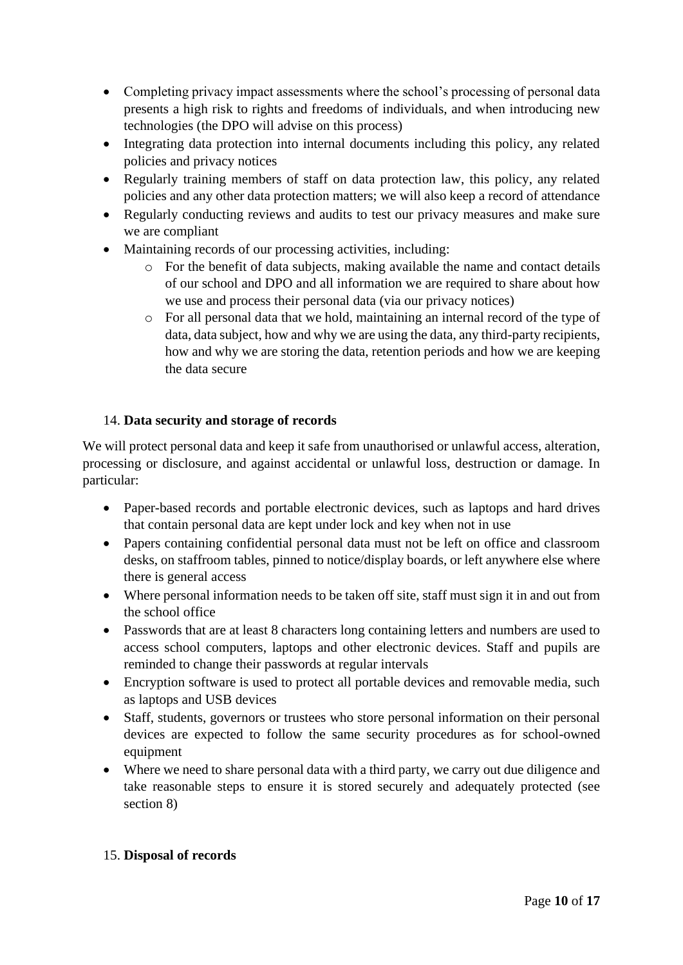- Completing privacy impact assessments where the school's processing of personal data presents a high risk to rights and freedoms of individuals, and when introducing new technologies (the DPO will advise on this process)
- Integrating data protection into internal documents including this policy, any related policies and privacy notices
- Regularly training members of staff on data protection law, this policy, any related policies and any other data protection matters; we will also keep a record of attendance
- Regularly conducting reviews and audits to test our privacy measures and make sure we are compliant
- Maintaining records of our processing activities, including:
	- o For the benefit of data subjects, making available the name and contact details of our school and DPO and all information we are required to share about how we use and process their personal data (via our privacy notices)
	- o For all personal data that we hold, maintaining an internal record of the type of data, data subject, how and why we are using the data, any third-party recipients, how and why we are storing the data, retention periods and how we are keeping the data secure

## 14. **Data security and storage of records**

We will protect personal data and keep it safe from unauthorised or unlawful access, alteration, processing or disclosure, and against accidental or unlawful loss, destruction or damage. In particular:

- Paper-based records and portable electronic devices, such as laptops and hard drives that contain personal data are kept under lock and key when not in use
- Papers containing confidential personal data must not be left on office and classroom desks, on staffroom tables, pinned to notice/display boards, or left anywhere else where there is general access
- Where personal information needs to be taken off site, staff must sign it in and out from the school office
- Passwords that are at least 8 characters long containing letters and numbers are used to access school computers, laptops and other electronic devices. Staff and pupils are reminded to change their passwords at regular intervals
- Encryption software is used to protect all portable devices and removable media, such as laptops and USB devices
- Staff, students, governors or trustees who store personal information on their personal devices are expected to follow the same security procedures as for school-owned equipment
- Where we need to share personal data with a third party, we carry out due diligence and take reasonable steps to ensure it is stored securely and adequately protected (see section 8)

## 15. **Disposal of records**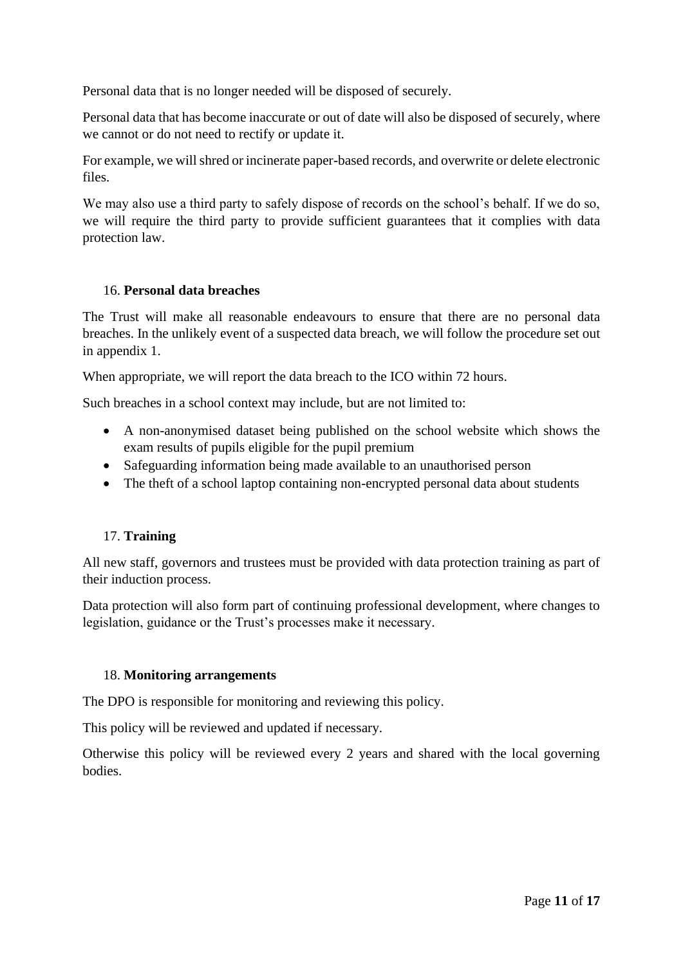Personal data that is no longer needed will be disposed of securely.

Personal data that has become inaccurate or out of date will also be disposed of securely, where we cannot or do not need to rectify or update it.

For example, we will shred or incinerate paper-based records, and overwrite or delete electronic files.

We may also use a third party to safely dispose of records on the school's behalf. If we do so, we will require the third party to provide sufficient guarantees that it complies with data protection law.

## 16. **Personal data breaches**

The Trust will make all reasonable endeavours to ensure that there are no personal data breaches. In the unlikely event of a suspected data breach, we will follow the procedure set out in appendix 1.

When appropriate, we will report the data breach to the ICO within 72 hours.

Such breaches in a school context may include, but are not limited to:

- A non-anonymised dataset being published on the school website which shows the exam results of pupils eligible for the pupil premium
- Safeguarding information being made available to an unauthorised person
- The theft of a school laptop containing non-encrypted personal data about students

## 17. **Training**

All new staff, governors and trustees must be provided with data protection training as part of their induction process.

Data protection will also form part of continuing professional development, where changes to legislation, guidance or the Trust's processes make it necessary.

#### 18. **Monitoring arrangements**

The DPO is responsible for monitoring and reviewing this policy.

This policy will be reviewed and updated if necessary.

Otherwise this policy will be reviewed every 2 years and shared with the local governing bodies.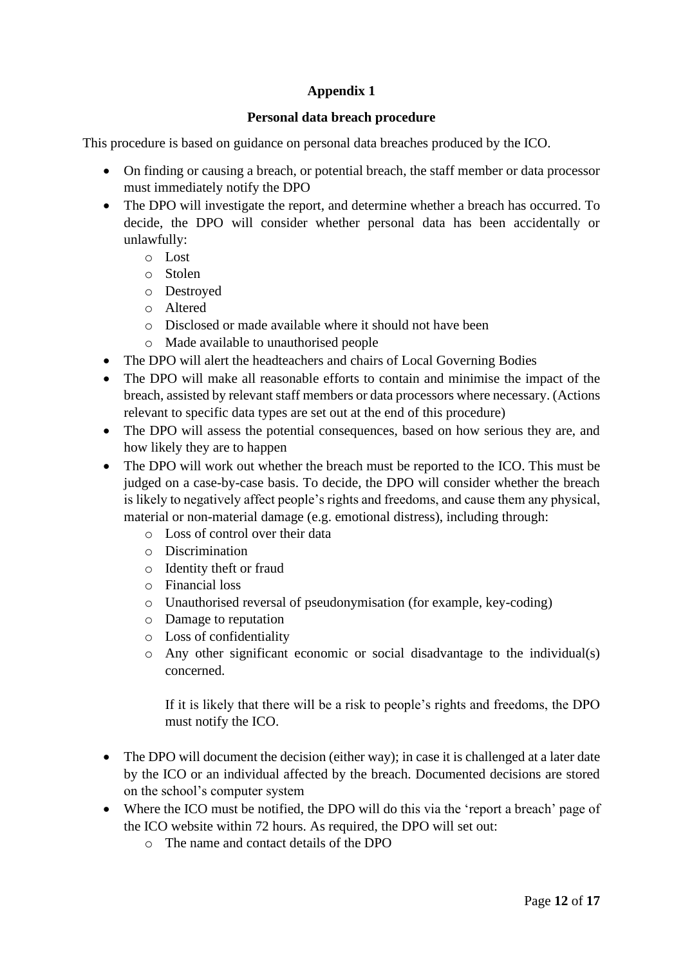## **Appendix 1**

#### **Personal data breach procedure**

This procedure is based on guidance on personal data breaches produced by the ICO.

- On finding or causing a breach, or potential breach, the staff member or data processor must immediately notify the DPO
- The DPO will investigate the report, and determine whether a breach has occurred. To decide, the DPO will consider whether personal data has been accidentally or unlawfully:
	- o Lost
	- o Stolen
	- o Destroyed
	- o Altered
	- o Disclosed or made available where it should not have been
	- o Made available to unauthorised people
- The DPO will alert the headteachers and chairs of Local Governing Bodies
- The DPO will make all reasonable efforts to contain and minimise the impact of the breach, assisted by relevant staff members or data processors where necessary. (Actions relevant to specific data types are set out at the end of this procedure)
- The DPO will assess the potential consequences, based on how serious they are, and how likely they are to happen
- The DPO will work out whether the breach must be reported to the ICO. This must be judged on a case-by-case basis. To decide, the DPO will consider whether the breach is likely to negatively affect people's rights and freedoms, and cause them any physical, material or non-material damage (e.g. emotional distress), including through:
	- o Loss of control over their data
	- o Discrimination
	- o Identity theft or fraud
	- o Financial loss
	- o Unauthorised reversal of pseudonymisation (for example, key-coding)
	- o Damage to reputation
	- o Loss of confidentiality
	- o Any other significant economic or social disadvantage to the individual(s) concerned.

If it is likely that there will be a risk to people's rights and freedoms, the DPO must notify the ICO.

- The DPO will document the decision (either way); in case it is challenged at a later date by the ICO or an individual affected by the breach. Documented decisions are stored on the school's computer system
- Where the ICO must be notified, the DPO will do this via the 'report a breach' page of the ICO website within 72 hours. As required, the DPO will set out:
	- o The name and contact details of the DPO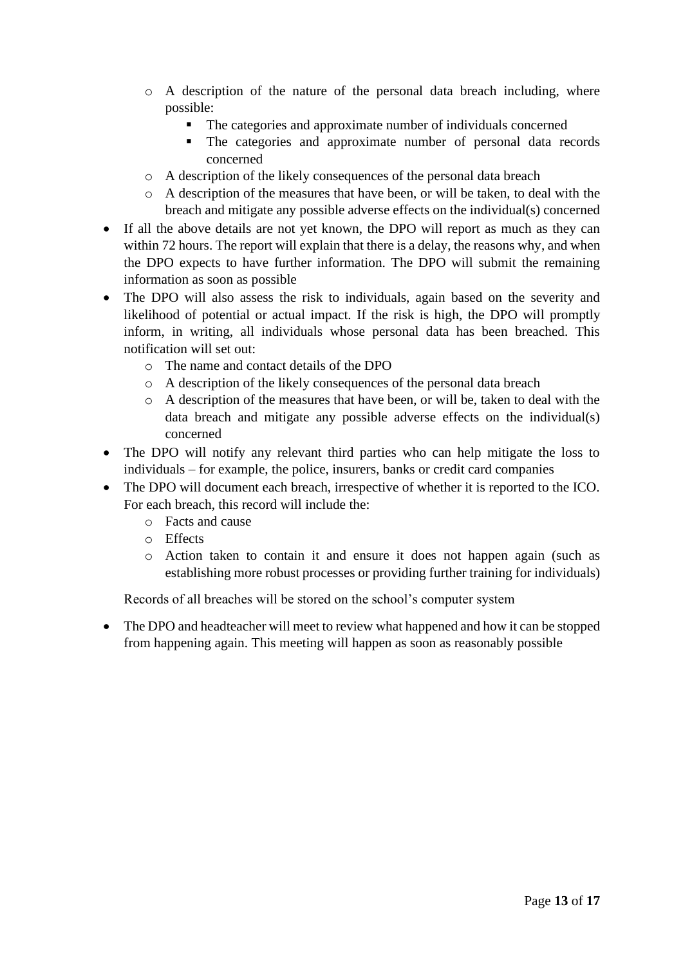- o A description of the nature of the personal data breach including, where possible:
	- The categories and approximate number of individuals concerned
	- The categories and approximate number of personal data records concerned
- o A description of the likely consequences of the personal data breach
- o A description of the measures that have been, or will be taken, to deal with the breach and mitigate any possible adverse effects on the individual(s) concerned
- If all the above details are not yet known, the DPO will report as much as they can within 72 hours. The report will explain that there is a delay, the reasons why, and when the DPO expects to have further information. The DPO will submit the remaining information as soon as possible
- The DPO will also assess the risk to individuals, again based on the severity and likelihood of potential or actual impact. If the risk is high, the DPO will promptly inform, in writing, all individuals whose personal data has been breached. This notification will set out:
	- o The name and contact details of the DPO
	- o A description of the likely consequences of the personal data breach
	- o A description of the measures that have been, or will be, taken to deal with the data breach and mitigate any possible adverse effects on the individual(s) concerned
- The DPO will notify any relevant third parties who can help mitigate the loss to individuals – for example, the police, insurers, banks or credit card companies
- The DPO will document each breach, irrespective of whether it is reported to the ICO. For each breach, this record will include the:
	- o Facts and cause
	- o Effects
	- o Action taken to contain it and ensure it does not happen again (such as establishing more robust processes or providing further training for individuals)

Records of all breaches will be stored on the school's computer system

• The DPO and headteacher will meet to review what happened and how it can be stopped from happening again. This meeting will happen as soon as reasonably possible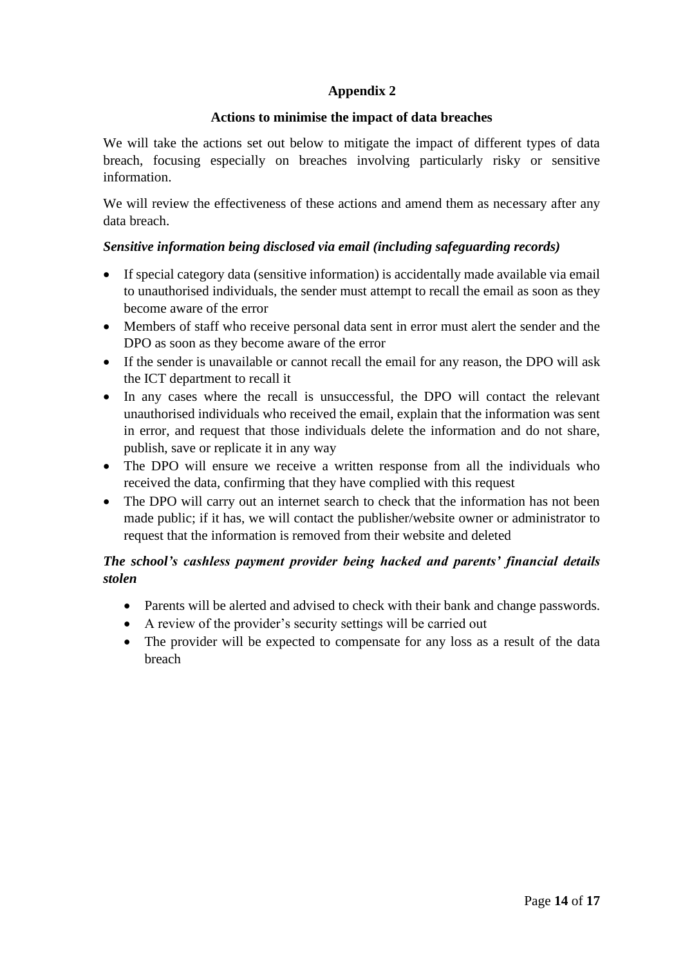## **Appendix 2**

#### **Actions to minimise the impact of data breaches**

We will take the actions set out below to mitigate the impact of different types of data breach, focusing especially on breaches involving particularly risky or sensitive information.

We will review the effectiveness of these actions and amend them as necessary after any data breach.

## *Sensitive information being disclosed via email (including safeguarding records)*

- If special category data (sensitive information) is accidentally made available via email to unauthorised individuals, the sender must attempt to recall the email as soon as they become aware of the error
- Members of staff who receive personal data sent in error must alert the sender and the DPO as soon as they become aware of the error
- If the sender is unavailable or cannot recall the email for any reason, the DPO will ask the ICT department to recall it
- In any cases where the recall is unsuccessful, the DPO will contact the relevant unauthorised individuals who received the email, explain that the information was sent in error, and request that those individuals delete the information and do not share, publish, save or replicate it in any way
- The DPO will ensure we receive a written response from all the individuals who received the data, confirming that they have complied with this request
- The DPO will carry out an internet search to check that the information has not been made public; if it has, we will contact the publisher/website owner or administrator to request that the information is removed from their website and deleted

## *The school's cashless payment provider being hacked and parents' financial details stolen*

- Parents will be alerted and advised to check with their bank and change passwords.
- A review of the provider's security settings will be carried out
- The provider will be expected to compensate for any loss as a result of the data breach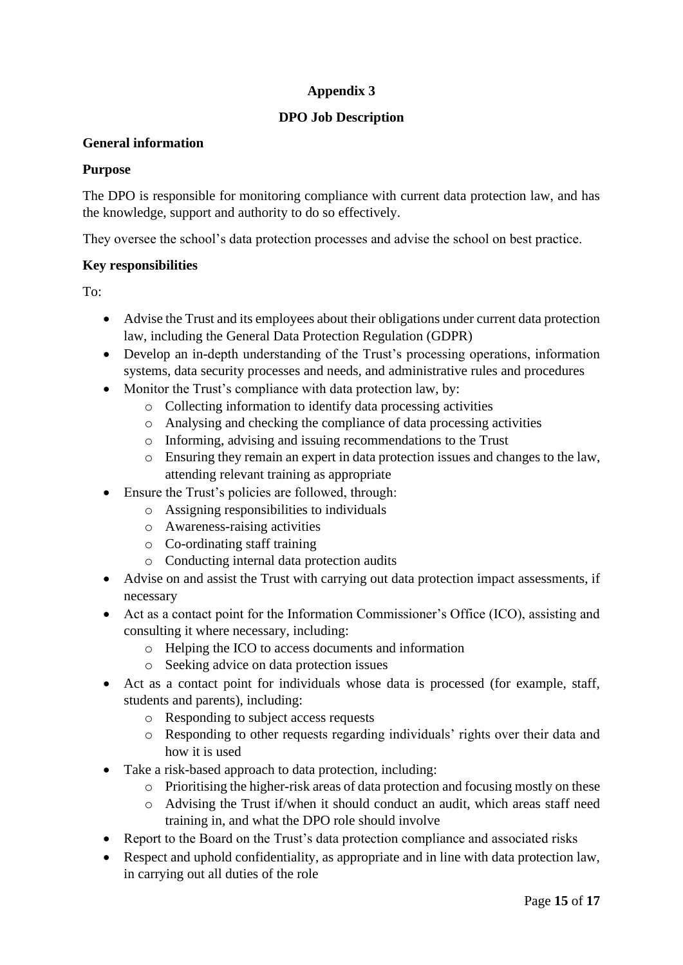## **Appendix 3**

## **DPO Job Description**

## **General information**

## **Purpose**

The DPO is responsible for monitoring compliance with current data protection law, and has the knowledge, support and authority to do so effectively.

They oversee the school's data protection processes and advise the school on best practice.

## **Key responsibilities**

To:

- Advise the Trust and its employees about their obligations under current data protection law, including the General Data Protection Regulation (GDPR)
- Develop an in-depth understanding of the Trust's processing operations, information systems, data security processes and needs, and administrative rules and procedures
- Monitor the Trust's compliance with data protection law, by:
	- o Collecting information to identify data processing activities
	- o Analysing and checking the compliance of data processing activities
	- o Informing, advising and issuing recommendations to the Trust
	- o Ensuring they remain an expert in data protection issues and changes to the law, attending relevant training as appropriate
- Ensure the Trust's policies are followed, through:
	- o Assigning responsibilities to individuals
	- o Awareness-raising activities
	- o Co-ordinating staff training
	- o Conducting internal data protection audits
- Advise on and assist the Trust with carrying out data protection impact assessments, if necessary
- Act as a contact point for the Information Commissioner's Office (ICO), assisting and consulting it where necessary, including:
	- o Helping the ICO to access documents and information
	- o Seeking advice on data protection issues
- Act as a contact point for individuals whose data is processed (for example, staff, students and parents), including:
	- o Responding to subject access requests
	- o Responding to other requests regarding individuals' rights over their data and how it is used
- Take a risk-based approach to data protection, including:
	- o Prioritising the higher-risk areas of data protection and focusing mostly on these
	- o Advising the Trust if/when it should conduct an audit, which areas staff need training in, and what the DPO role should involve
- Report to the Board on the Trust's data protection compliance and associated risks
- Respect and uphold confidentiality, as appropriate and in line with data protection law, in carrying out all duties of the role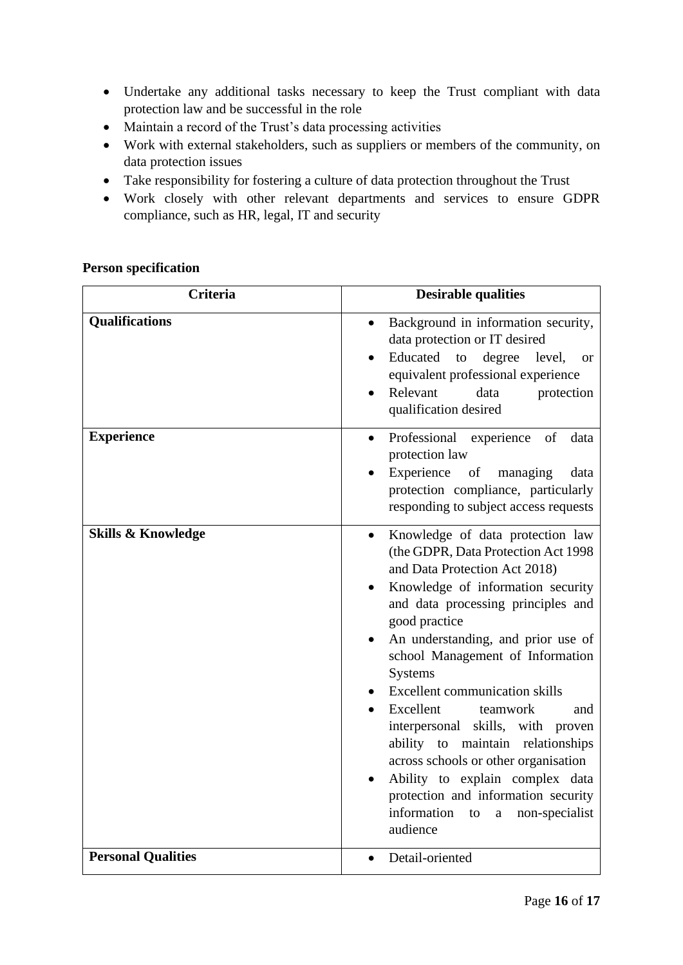- Undertake any additional tasks necessary to keep the Trust compliant with data protection law and be successful in the role
- Maintain a record of the Trust's data processing activities
- Work with external stakeholders, such as suppliers or members of the community, on data protection issues
- Take responsibility for fostering a culture of data protection throughout the Trust
- Work closely with other relevant departments and services to ensure GDPR compliance, such as HR, legal, IT and security

#### **Person specification**

| <b>Criteria</b>               | <b>Desirable qualities</b>                                                                                                                                                                                                                                                                                                                                                                                                                                                                                                                                                                                                                  |
|-------------------------------|---------------------------------------------------------------------------------------------------------------------------------------------------------------------------------------------------------------------------------------------------------------------------------------------------------------------------------------------------------------------------------------------------------------------------------------------------------------------------------------------------------------------------------------------------------------------------------------------------------------------------------------------|
| <b>Qualifications</b>         | Background in information security,<br>data protection or IT desired<br>Educated<br>to<br>degree<br>level,<br><b>or</b><br>equivalent professional experience<br>Relevant<br>data<br>protection<br>qualification desired                                                                                                                                                                                                                                                                                                                                                                                                                    |
| <b>Experience</b>             | Professional experience of<br>data<br>$\bullet$<br>protection law<br>Experience<br>of<br>managing<br>data<br>protection compliance, particularly<br>responding to subject access requests                                                                                                                                                                                                                                                                                                                                                                                                                                                   |
| <b>Skills &amp; Knowledge</b> | Knowledge of data protection law<br>(the GDPR, Data Protection Act 1998<br>and Data Protection Act 2018)<br>Knowledge of information security<br>and data processing principles and<br>good practice<br>An understanding, and prior use of<br>school Management of Information<br><b>Systems</b><br><b>Excellent communication skills</b><br>Excellent<br>teamwork<br>and<br>skills, with proven<br>interpersonal<br>ability to maintain relationships<br>across schools or other organisation<br>Ability to explain complex data<br>protection and information security<br>information<br>non-specialist<br>to<br>$\mathbf{a}$<br>audience |
| <b>Personal Qualities</b>     | Detail-oriented                                                                                                                                                                                                                                                                                                                                                                                                                                                                                                                                                                                                                             |